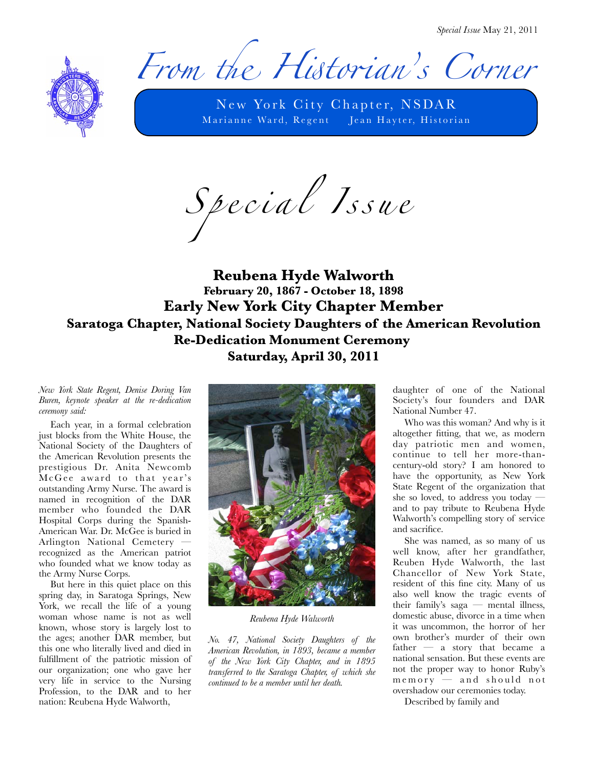*Special Issue* May 21, 2011



From the Historian's Corner

New York City Chapter, NSDAR Marianne Ward, Regent Jean Hayter, Historian

*S p e c i a l I s s u e*

## **Reubena Hyde Walworth February 20, 1867 - October 18, 1898 Early New York City Chapter Member Saratoga Chapter, National Society Daughters of the American Revolution Re-Dedication Monument Ceremony Saturday, April 30, 2011**

*New York State Regent, Denise Doring Van Buren, keynote speaker at the re-dedication ceremony said:*

Each year, in a formal celebration just blocks from the White House, the National Society of the Daughters of the American Revolution presents the prestigious Dr. Anita Newcomb McGee award to that year's outstanding Army Nurse. The award is named in recognition of the DAR member who founded the DAR Hospital Corps during the Spanish-American War. Dr. McGee is buried in Arlington National Cemetery recognized as the American patriot who founded what we know today as the Army Nurse Corps.

But here in this quiet place on this spring day, in Saratoga Springs, New York, we recall the life of a young woman whose name is not as well known, whose story is largely lost to the ages; another DAR member, but this one who literally lived and died in fulfillment of the patriotic mission of our organization; one who gave her very life in service to the Nursing Profession, to the DAR and to her nation: Reubena Hyde Walworth,



*Reubena Hyde Walworth*

*No. 47, National Society Daughters of the American Revolution, in 1893, became a member of the New York City Chapter, and in 1895 transferred to the Saratoga Chapter, of which she continued to be a member until her death.*

daughter of one of the National Society's four founders and DAR National Number 47.

Who was this woman? And why is it altogether fitting, that we, as modern day patriotic men and women, continue to tell her more-thancentury-old story? I am honored to have the opportunity, as New York State Regent of the organization that she so loved, to address you today and to pay tribute to Reubena Hyde Walworth's compelling story of service and sacrifice.

She was named, as so many of us well know, after her grandfather, Reuben Hyde Walworth, the last Chancellor of New York State, resident of this fine city. Many of us also well know the tragic events of their family's saga — mental illness, domestic abuse, divorce in a time when it was uncommon, the horror of her own brother's murder of their own father — a story that became a national sensation. But these events are not the proper way to honor Ruby's  $m$  e  $m$  or  $y$   $-$  and should not overshadow our ceremonies today.

Described by family and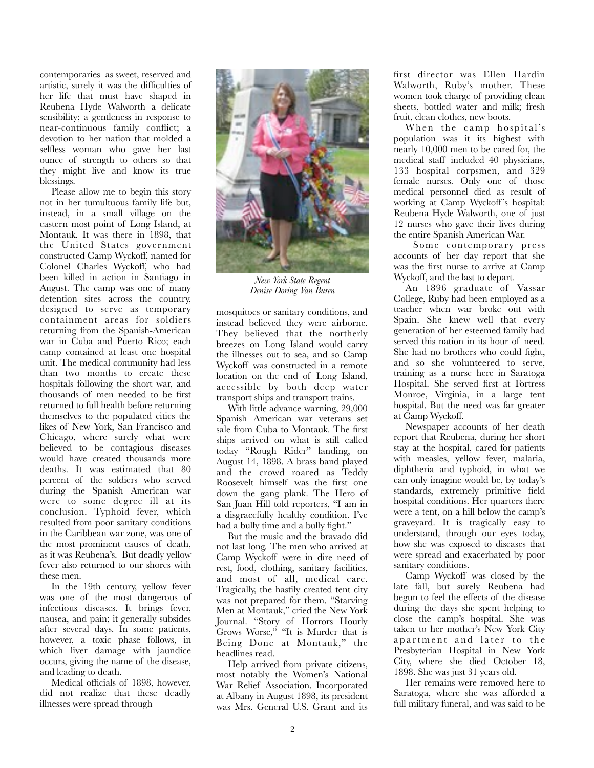contemporaries as sweet, reserved and artistic, surely it was the difficulties of her life that must have shaped in Reubena Hyde Walworth a delicate sensibility; a gentleness in response to near-continuous family conflict; a devotion to her nation that molded a selfless woman who gave her last ounce of strength to others so that they might live and know its true blessings.

Please allow me to begin this story not in her tumultuous family life but, instead, in a small village on the eastern most point of Long Island, at Montauk. It was there in 1898, that the United States government constructed Camp Wyckoff, named for Colonel Charles Wyckoff, who had been killed in action in Santiago in August. The camp was one of many detention sites across the country, designed to serve as temporary containment areas for soldiers returning from the Spanish-American war in Cuba and Puerto Rico; each camp contained at least one hospital unit. The medical community had less than two months to create these hospitals following the short war, and thousands of men needed to be first returned to full health before returning themselves to the populated cities the likes of New York, San Francisco and Chicago, where surely what were believed to be contagious diseases would have created thousands more deaths. It was estimated that 80 percent of the soldiers who served during the Spanish American war were to some degree ill at its conclusion. Typhoid fever, which resulted from poor sanitary conditions in the Caribbean war zone, was one of the most prominent causes of death, as it was Reubena's. But deadly yellow fever also returned to our shores with these men.

In the 19th century, yellow fever was one of the most dangerous of [infectious diseases.](http://en.wikipedia.org/wiki/Infectious_disease) It brings [fever,](http://en.wikipedia.org/wiki/Fever) [nausea,](http://en.wikipedia.org/wiki/Nausea) and pain; it generally subsides after several days. In some patients, however, a toxic phase follows, in which liver damage with [jaundice](http://en.wikipedia.org/wiki/Jaundice) occurs, giving the name of the disease, and leading to death.

Medical officials of 1898, however, did not realize that these deadly illnesses were spread through



*New York State Regent Denise Doring Van Buren*

mosquitoes or sanitary conditions, and instead believed they were airborne. They believed that the northerly breezes on Long Island would carry the illnesses out to sea, and so Camp Wyckoff was constructed in a remote location on the end of Long Island, accessible by both deep water transport ships and transport trains.

With little advance warning, 29,000 Spanish American war veterans set sale from Cuba to Montauk. The first ships arrived on what is still called today "Rough Rider" landing, on August 14, 1898. A brass band played and the crowd roared as Teddy Roosevelt himself was the first one down the gang plank. The Hero of San Juan Hill told reporters, "I am in a disgracefully healthy condition. I've had a bully time and a bully fight."

But the music and the bravado did not last long. The men who arrived at Camp Wyckoff were in dire need of rest, food, clothing, sanitary facilities, and most of all, medical care. Tragically, the hastily created tent city was not prepared for them. "Starving Men at Montauk," cried the New York Journal. "Story of Horrors Hourly Grows Worse," "It is Murder that is Being Done at Montauk," the headlines read.

Help arrived from private citizens, most notably the Women's National War Relief Association. Incorporated at Albany in August 1898, its president was Mrs. General U.S. Grant and its

first director was Ellen Hardin Walworth, Ruby's mother. These women took charge of providing clean sheets, bottled water and milk; fresh fruit, clean clothes, new boots.

When the camp hospital's population was it its highest with nearly 10,000 men to be cared for, the medical staff included 40 physicians, 133 hospital corpsmen, and 329 female nurses. Only one of those medical personnel died as result of working at Camp Wyckoff 's hospital: Reubena Hyde Walworth, one of just 12 nurses who gave their lives during the entire Spanish American War.

 Some contemporary press accounts of her day report that she was the first nurse to arrive at Camp Wyckoff, and the last to depart.

An 1896 graduate of Vassar College, Ruby had been employed as a teacher when war broke out with Spain. She knew well that every generation of her esteemed family had served this nation in its hour of need. She had no brothers who could fight, and so she volunteered to serve, training as a nurse here in Saratoga Hospital. She served first at Fortress Monroe, Virginia, in a large tent hospital. But the need was far greater at Camp Wyckoff.

Newspaper accounts of her death report that Reubena, during her short stay at the hospital, cared for patients with measles, yellow fever, malaria, diphtheria and typhoid, in what we can only imagine would be, by today's standards, extremely primitive field hospital conditions. Her quarters there were a tent, on a hill below the camp's graveyard. It is tragically easy to understand, through our eyes today, how she was exposed to diseases that were spread and exacerbated by poor sanitary conditions.

Camp Wyckoff was closed by the late fall, but surely Reubena had begun to feel the effects of the disease during the days she spent helping to close the camp's hospital. She was taken to her mother's New York City apartment and later to the Presbyterian Hospital in New York City, where she died October 18, 1898. She was just 31 years old.

Her remains were removed here to Saratoga, where she was afforded a full military funeral, and was said to be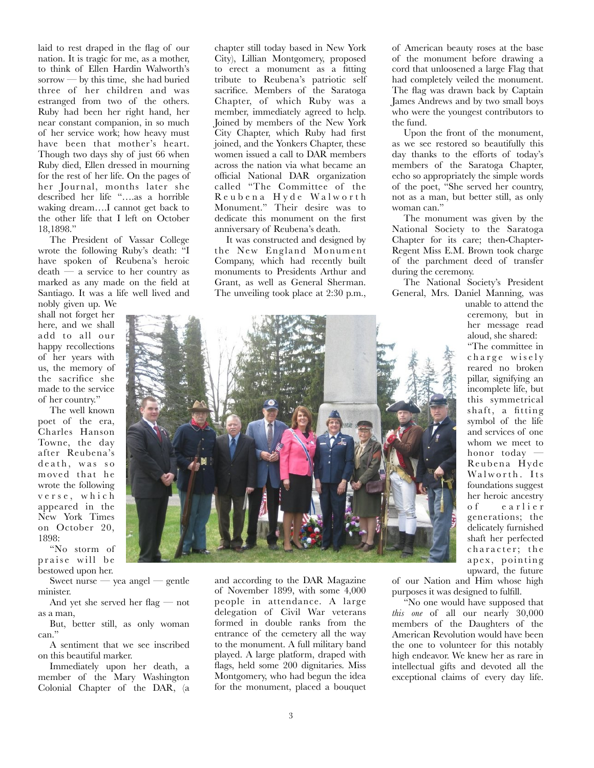laid to rest draped in the flag of our nation. It is tragic for me, as a mother, to think of Ellen Hardin Walworth's sorrow — by this time, she had buried three of her children and was estranged from two of the others. Ruby had been her right hand, her near constant companion, in so much of her service work; how heavy must have been that mother's heart. Though two days shy of just 66 when Ruby died, Ellen dressed in mourning for the rest of her life. On the pages of her Journal, months later she described her life "….as a horrible waking dream….I cannot get back to the other life that I left on October 18,1898."

The President of Vassar College wrote the following Ruby's death: "I have spoken of Reubena's heroic death — a service to her country as marked as any made on the field at Santiago. It was a life well lived and

nobly given up. We shall not forget her here, and we shall add to all our happy recollections of her years with us, the memory of the sacrifice she made to the service of her country."

The well known poet of the era, Charles Hanson Towne, the day after Reubena's death, was so moved that he wrote the following v e r s e , w h i c h appeared in the New York Times on October 20, 1898:

"No storm of praise will be bestowed upon her.

Sweet nurse — yea angel — gentle minister.

And yet she served her flag — not as a man,

But, better still, as only woman can."

A sentiment that we see inscribed on this beautiful marker.

Immediately upon her death, a member of the Mary Washington Colonial Chapter of the DAR, (a

chapter still today based in New York City), Lillian Montgomery, proposed to erect a monument as a fitting tribute to Reubena's patriotic self sacrifice. Members of the Saratoga Chapter, of which Ruby was a member, immediately agreed to help. Joined by members of the New York City Chapter, which Ruby had first joined, and the Yonkers Chapter, these women issued a call to DAR members across the nation via what became an official National DAR organization called "The Committee of the R e u b e n a H y d e W a l w o r t h Monument." Their desire was to dedicate this monument on the first anniversary of Reubena's death.

It was constructed and designed by the New England Monument Company, which had recently built monuments to Presidents Arthur and Grant, as well as General Sherman. The unveiling took place at 2:30 p.m.,

of American beauty roses at the base of the monument before drawing a cord that unloosened a large Flag that had completely veiled the monument. The flag was drawn back by Captain James Andrews and by two small boys who were the youngest contributors to the fund.

Upon the front of the monument, as we see restored so beautifully this day thanks to the efforts of today's members of the Saratoga Chapter, echo so appropriately the simple words of the poet, "She served her country, not as a man, but better still, as only woman can."

The monument was given by the National Society to the Saratoga Chapter for its care; then-Chapter-Regent Miss E.M. Brown took charge of the parchment deed of transfer during the ceremony.

The National Society's President General, Mrs. Daniel Manning, was

> unable to attend the ceremony, but in her message read aloud, she shared:

> "The committee in charge wisely reared no broken pillar, signifying an incomplete life, but this symmetrical shaft, a fitting symbol of the life and services of one whom we meet to honor today Reubena Hyde Walworth. Its foundations suggest her heroic ancestry o f e a r l i e r generations; the delicately furnished shaft her perfected character; the apex, pointing upward, the future

and according to the DAR Magazine of November 1899, with some 4,000 people in attendance. A large delegation of Civil War veterans formed in double ranks from the entrance of the cemetery all the way to the monument. A full military band played. A large platform, draped with flags, held some 200 dignitaries. Miss Montgomery, who had begun the idea for the monument, placed a bouquet of our Nation and Him whose high purposes it was designed to fulfill.

"No one would have supposed that *this one* of all our nearly 30,000 members of the Daughters of the American Revolution would have been the one to volunteer for this notably high endeavor. We knew her as rare in intellectual gifts and devoted all the exceptional claims of every day life.